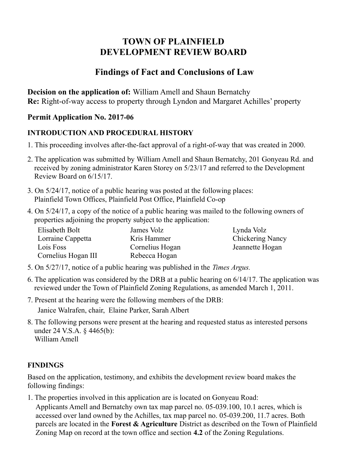# **TOWN OF PLAINFIELD DEVELOPMENT REVIEW BOARD**

# **Findings of Fact and Conclusions of Law**

**Decision on the application of:** William Amell and Shaun Bernatchy **Re:** Right-of-way access to property through Lyndon and Margaret Achilles' property

### **Permit Application No. 2017-06**

### **INTRODUCTION AND PROCEDURAL HISTORY**

- 1. This proceeding involves after-the-fact approval of a right-of-way that was created in 2000.
- 2. The application was submitted by William Amell and Shaun Bernatchy, 201 Gonyeau Rd. and received by zoning administrator Karen Storey on 5/23/17 and referred to the Development Review Board on 6/15/17.
- 3. On 5/24/17, notice of a public hearing was posted at the following places: Plainfield Town Offices, Plainfield Post Office, Plainfield Co-op
- 4. On 5/24/17, a copy of the notice of a public hearing was mailed to the following owners of properties adjoining the property subject to the application:

| Elisabeth Bolt      | James Volz      | Lynda Volz              |
|---------------------|-----------------|-------------------------|
| Lorraine Cappetta   | Kris Hammer     | <b>Chickering Nancy</b> |
| Lois Foss           | Cornelius Hogan | Jeannette Hogan         |
| Cornelius Hogan III | Rebecca Hogan   |                         |

- 5. On 5/27/17, notice of a public hearing was published in the *Times Argus.*
- 6. The application was considered by the DRB at a public hearing on 6/14/17. The application was reviewed under the Town of Plainfield Zoning Regulations, as amended March 1, 2011.
- 7. Present at the hearing were the following members of the DRB: Janice Walrafen, chair, Elaine Parker, Sarah Albert
- 8. The following persons were present at the hearing and requested status as interested persons under 24 V.S.A. § 4465(b): William Amell

### **FINDINGS**

Based on the application, testimony, and exhibits the development review board makes the following findings:

1. The properties involved in this application are is located on Gonyeau Road:

Applicants Amell and Bernatchy own tax map parcel no. 05-039.100, 10.1 acres, which is accessed over land owned by the Achilles, tax map parcel no. 05-039.200, 11.7 acres. Both parcels are located in the **Forest & Agriculture** District as described on the Town of Plainfield Zoning Map on record at the town office and section **4.2** of the Zoning Regulations.